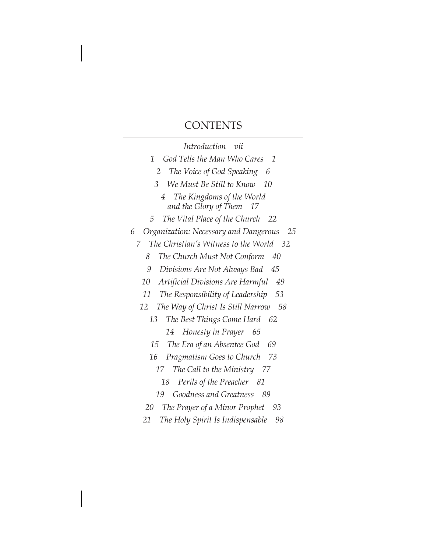## **CONTENTS**

*Introduction vii 1 God Tells the Man Who Cares 1 2 The Voice of God Speaking 6 3 We Must Be Still to Know 10 4 The Kingdoms of the World and the Glory of Them 17 5 The Vital Place of the Church 22 6 Organization: Necessary and Dangerous 25 7 The Christian's Witness to the World 32 8 The Church Must Not Conform 40 9 Divisions Are Not Always Bad 45 10 Artificial Divisions Are Harmful 49 11 The Responsibility of Leadership 53 12 The Way of Christ Is Still Narrow 58 13 The Best Things Come Hard 62 14 Honesty in Prayer 65 15 The Era of an Absentee God 69 16 Pragmatism Goes to Church 73 17 The Call to the Ministry 77 18 Perils of the Preacher 81 19 Goodness and Greatness 89 20 The Prayer of a Minor Prophet 93 21 The Holy Spirit Is Indispensable 98*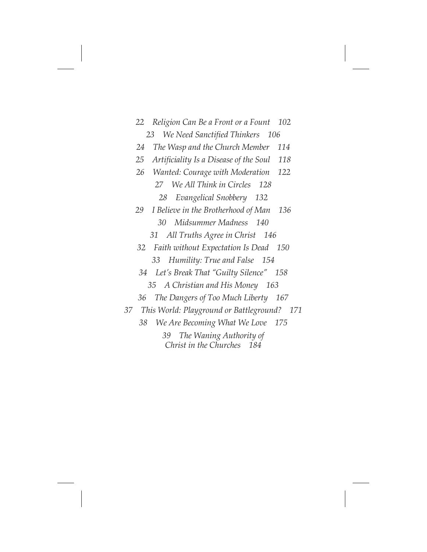*22 Religion Can Be a Front or a Fount 102 23 We Need Sanctified Thinkers 106 24 The Wasp and the Church Member 114 25 Artificiality Is a Disease of the Soul 118 26 Wanted: Courage with Moderation 122 27 We All Think in Circles 128 28 Evangelical Snobbery 132 29 I Believe in the Brotherhood of Man 136 30 Midsummer Madness 140 31 All Truths Agree in Christ 146 32 Faith without Expectation Is Dead 150 33 Humility: True and False 154 34 Let's Break That "Guilty Silence" 158 35 A Christian and His Money 163 36 The Dangers of Too Much Liberty 167 37 This World: Playground or Battleground? 171 38 We Are Becoming What We Love 175 39 The Waning Authority of Christ in the Churches 184*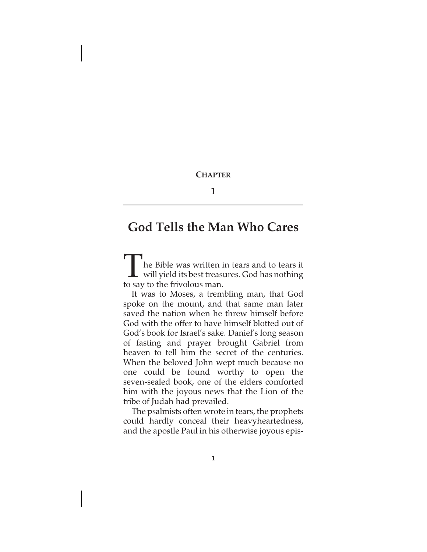## **CHAPTER**

**1**

## **God Tells the Man Who Cares**

The Bible was written in tears and to tears it<br>will yield its best treasures. God has nothing<br>to say to the frivolous man will yield its best treasures. God has nothing to say to the frivolous man.

It was to Moses, a trembling man, that God spoke on the mount, and that same man later saved the nation when he threw himself before God with the offer to have himself blotted out of God's book for Israel's sake. Daniel's long season of fasting and prayer brought Gabriel from heaven to tell him the secret of the centuries. When the beloved John wept much because no one could be found worthy to open the seven-sealed book, one of the elders comforted him with the joyous news that the Lion of the tribe of Judah had prevailed.

The psalmists often wrote in tears, the prophets could hardly conceal their heavyheartedness, and the apostle Paul in his otherwise joyous epis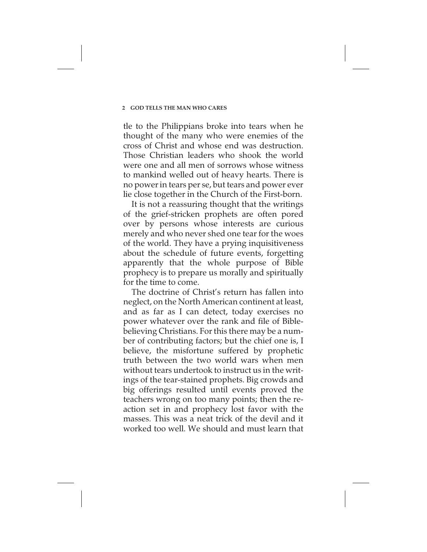tle to the Philippians broke into tears when he thought of the many who were enemies of the cross of Christ and whose end was destruction. Those Christian leaders who shook the world were one and all men of sorrows whose witness to mankind welled out of heavy hearts. There is no power in tears per se, but tears and power ever lie close together in the Church of the First-born.

It is not a reassuring thought that the writings of the grief-stricken prophets are often pored over by persons whose interests are curious merely and who never shed one tear for the woes of the world. They have a prying inquisitiveness about the schedule of future events, forgetting apparently that the whole purpose of Bible prophecy is to prepare us morally and spiritually for the time to come.

The doctrine of Christ's return has fallen into neglect, on the North American continent at least, and as far as I can detect, today exercises no power whatever over the rank and file of Biblebelieving Christians. For this there may be a number of contributing factors; but the chief one is, I believe, the misfortune suffered by prophetic truth between the two world wars when men without tears undertook to instruct us in the writings of the tear-stained prophets. Big crowds and big offerings resulted until events proved the teachers wrong on too many points; then the reaction set in and prophecy lost favor with the masses. This was a neat trick of the devil and it worked too well. We should and must learn that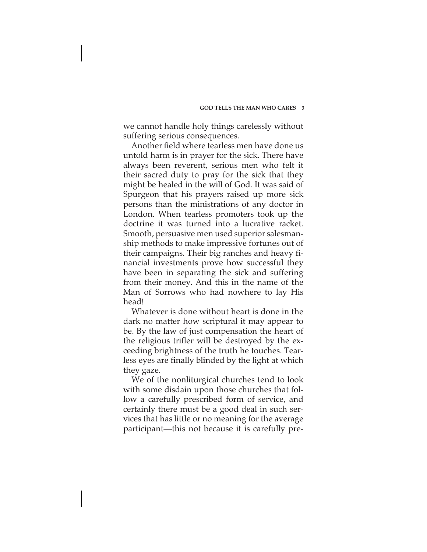we cannot handle holy things carelessly without suffering serious consequences.

Another field where tearless men have done us untold harm is in prayer for the sick. There have always been reverent, serious men who felt it their sacred duty to pray for the sick that they might be healed in the will of God. It was said of Spurgeon that his prayers raised up more sick persons than the ministrations of any doctor in London. When tearless promoters took up the doctrine it was turned into a lucrative racket. Smooth, persuasive men used superior salesmanship methods to make impressive fortunes out of their campaigns. Their big ranches and heavy financial investments prove how successful they have been in separating the sick and suffering from their money. And this in the name of the Man of Sorrows who had nowhere to lay His head!

Whatever is done without heart is done in the dark no matter how scriptural it may appear to be. By the law of just compensation the heart of the religious trifler will be destroyed by the exceeding brightness of the truth he touches. Tearless eyes are finally blinded by the light at which they gaze.

We of the nonliturgical churches tend to look with some disdain upon those churches that follow a carefully prescribed form of service, and certainly there must be a good deal in such services that has little or no meaning for the average participant—this not because it is carefully pre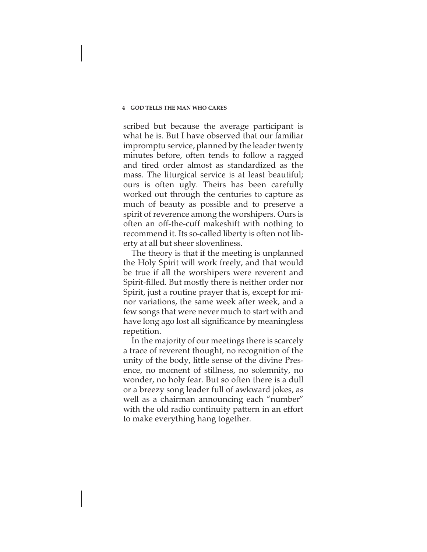scribed but because the average participant is what he is. But I have observed that our familiar impromptu service, planned by the leader twenty minutes before, often tends to follow a ragged and tired order almost as standardized as the mass. The liturgical service is at least beautiful; ours is often ugly. Theirs has been carefully worked out through the centuries to capture as much of beauty as possible and to preserve a spirit of reverence among the worshipers. Ours is often an off-the-cuff makeshift with nothing to recommend it. Its so-called liberty is often not liberty at all but sheer slovenliness.

The theory is that if the meeting is unplanned the Holy Spirit will work freely, and that would be true if all the worshipers were reverent and Spirit-filled. But mostly there is neither order nor Spirit, just a routine prayer that is, except for minor variations, the same week after week, and a few songs that were never much to start with and have long ago lost all significance by meaningless repetition.

In the majority of our meetings there is scarcely a trace of reverent thought, no recognition of the unity of the body, little sense of the divine Presence, no moment of stillness, no solemnity, no wonder, no holy fear. But so often there is a dull or a breezy song leader full of awkward jokes, as well as a chairman announcing each "number" with the old radio continuity pattern in an effort to make everything hang together.